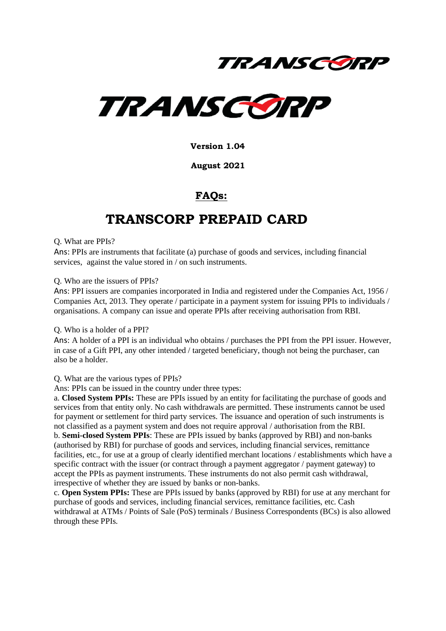



**Version 1.04**

#### **August 2021**

### **FAQs:**

### **TRANSCORP PREPAID CARD**

#### Q. What are PPIs?

Ans: PPIs are instruments that facilitate (a) purchase of goods and services, including financial services, against the value stored in / on such instruments.

#### Q. Who are the issuers of PPIs?

Ans: PPI issuers are companies incorporated in India and registered under the Companies Act, 1956 / Companies Act, 2013. They operate / participate in a payment system for issuing PPIs to individuals / organisations. A company can issue and operate PPIs after receiving authorisation from RBI.

#### Q. Who is a holder of a PPI?

Ans: A holder of a PPI is an individual who obtains / purchases the PPI from the PPI issuer. However, in case of a Gift PPI, any other intended / targeted beneficiary, though not being the purchaser, can also be a holder.

#### Q. What are the various types of PPIs?

Ans: PPIs can be issued in the country under three types:

a. **Closed System PPIs:** These are PPIs issued by an entity for facilitating the purchase of goods and services from that entity only. No cash withdrawals are permitted. These instruments cannot be used for payment or settlement for third party services. The issuance and operation of such instruments is not classified as a payment system and does not require approval / authorisation from the RBI. b. **Semi-closed System PPIs**: These are PPIs issued by banks (approved by RBI) and non-banks (authorised by RBI) for purchase of goods and services, including financial services, remittance facilities, etc., for use at a group of clearly identified merchant locations / establishments which have a specific contract with the issuer (or contract through a payment aggregator / payment gateway) to accept the PPIs as payment instruments. These instruments do not also permit cash withdrawal, irrespective of whether they are issued by banks or non-banks.

c. **Open System PPIs:** These are PPIs issued by banks (approved by RBI) for use at any merchant for purchase of goods and services, including financial services, remittance facilities, etc. Cash withdrawal at ATMs / Points of Sale (PoS) terminals / Business Correspondents (BCs) is also allowed through these PPIs.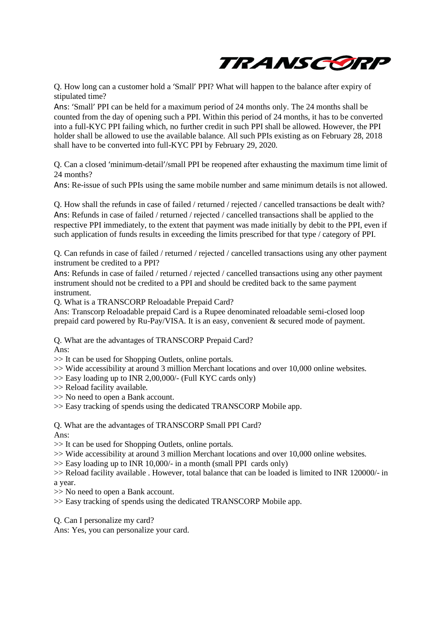

Q. How long can a customer hold a 'Small' PPI? What will happen to the balance after expiry of stipulated time?

Ans: 'Small' PPI can be held for a maximum period of 24 months only. The 24 months shall be counted from the day of opening such a PPI. Within this period of 24 months, it has to be converted into a full-KYC PPI failing which, no further credit in such PPI shall be allowed. However, the PPI holder shall be allowed to use the available balance. All such PPIs existing as on February 28, 2018 shall have to be converted into full-KYC PPI by February 29, 2020.

Q. Can a closed 'minimum-detail'/small PPI be reopened after exhausting the maximum time limit of 24 months?

Ans: Re-issue of such PPIs using the same mobile number and same minimum details is not allowed.

Q. How shall the refunds in case of failed / returned / rejected / cancelled transactions be dealt with? Ans: Refunds in case of failed / returned / rejected / cancelled transactions shall be applied to the respective PPI immediately, to the extent that payment was made initially by debit to the PPI, even if such application of funds results in exceeding the limits prescribed for that type / category of PPI.

Q. Can refunds in case of failed / returned / rejected / cancelled transactions using any other payment instrument be credited to a PPI?

Ans: Refunds in case of failed / returned / rejected / cancelled transactions using any other payment instrument should not be credited to a PPI and should be credited back to the same payment instrument.

Q. What is a TRANSCORP Reloadable Prepaid Card?

Ans: Transcorp Reloadable prepaid Card is a Rupee denominated reloadable semi-closed loop prepaid card powered by Ru-Pay/VISA. It is an easy, convenient & secured mode of payment.

Q. What are the advantages of TRANSCORP Prepaid Card? Ans:

>> It can be used for Shopping Outlets, online portals.

>> Wide accessibility at around 3 million Merchant locations and over 10,000 online websites.

>> Easy loading up to INR 2,00,000/- (Full KYC cards only)

>> Reload facility available.

>> No need to open a Bank account.

>> Easy tracking of spends using the dedicated TRANSCORP Mobile app.

Q. What are the advantages of TRANSCORP Small PPI Card? Ans:

>> It can be used for Shopping Outlets, online portals.

>> Wide accessibility at around 3 million Merchant locations and over 10,000 online websites.

 $\gg$  Easy loading up to INR 10,000/- in a month (small PPI cards only)

>> Reload facility available . However, total balance that can be loaded is limited to INR 120000/- in a year.

>> No need to open a Bank account.

>> Easy tracking of spends using the dedicated TRANSCORP Mobile app.

Q. Can I personalize my card?

Ans: Yes, you can personalize your card.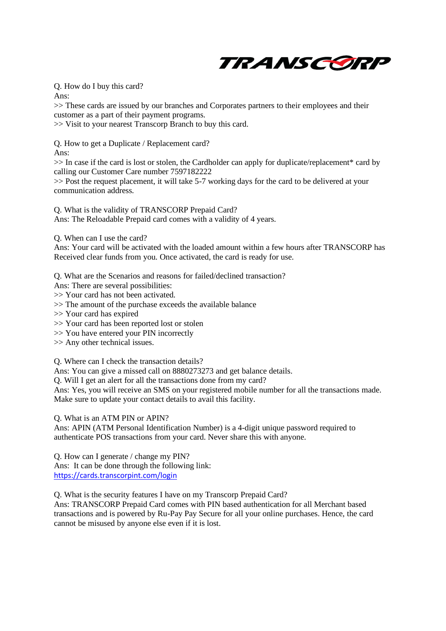

Q. How do I buy this card?

Ans:

>> These cards are issued by our branches and Corporates partners to their employees and their customer as a part of their payment programs.

>> Visit to your nearest Transcorp Branch to buy this card.

Q. How to get a Duplicate / Replacement card? Ans:

>> In case if the card is lost or stolen, the Cardholder can apply for duplicate/replacement\* card by calling our Customer Care number 7597182222

>> Post the request placement, it will take 5-7 working days for the card to be delivered at your communication address.

Q. What is the validity of TRANSCORP Prepaid Card? Ans: The Reloadable Prepaid card comes with a validity of 4 years.

Q. When can I use the card?

Ans: Your card will be activated with the loaded amount within a few hours after TRANSCORP has Received clear funds from you. Once activated, the card is ready for use.

Q. What are the Scenarios and reasons for failed/declined transaction?

Ans: There are several possibilities:

>> Your card has not been activated.

>> The amount of the purchase exceeds the available balance

>> Your card has expired

>> Your card has been reported lost or stolen

>> You have entered your PIN incorrectly

>> Any other technical issues.

Q. Where can I check the transaction details?

Ans: You can give a missed call on 8880273273 and get balance details.

Q. Will I get an alert for all the transactions done from my card?

Ans: Yes, you will receive an SMS on your registered mobile number for all the transactions made. Make sure to update your contact details to avail this facility.

Q. What is an ATM PIN or APIN?

Ans: APIN (ATM Personal Identification Number) is a 4-digit unique password required to authenticate POS transactions from your card. Never share this with anyone.

Q. How can I generate / change my PIN? Ans: It can be done through the following link: <https://cards.transcorpint.com/login>

Q. What is the security features I have on my Transcorp Prepaid Card?

Ans: TRANSCORP Prepaid Card comes with PIN based authentication for all Merchant based transactions and is powered by Ru-Pay Pay Secure for all your online purchases. Hence, the card cannot be misused by anyone else even if it is lost.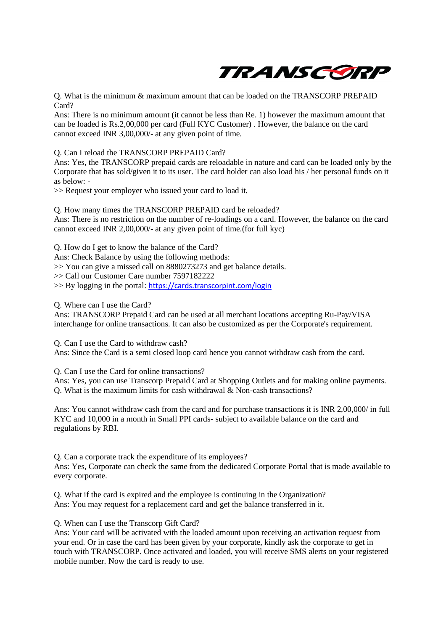

Q. What is the minimum & maximum amount that can be loaded on the TRANSCORP PREPAID Card?

Ans: There is no minimum amount (it cannot be less than Re. 1) however the maximum amount that can be loaded is Rs.2,00,000 per card (Full KYC Customer) . However, the balance on the card cannot exceed INR 3,00,000/- at any given point of time.

Q. Can I reload the TRANSCORP PREPAID Card?

Ans: Yes, the TRANSCORP prepaid cards are reloadable in nature and card can be loaded only by the Corporate that has sold/given it to its user. The card holder can also load his / her personal funds on it as below: -

>> Request your employer who issued your card to load it.

Q. How many times the TRANSCORP PREPAID card be reloaded?

Ans: There is no restriction on the number of re-loadings on a card. However, the balance on the card cannot exceed INR 2,00,000/- at any given point of time.(for full kyc)

Q. How do I get to know the balance of the Card?

Ans: Check Balance by using the following methods:

>> You can give a missed call on 8880273273 and get balance details.

>> Call our Customer Care number 7597182222

>> By logging in the portal: <https://cards.transcorpint.com/login>

Q. Where can I use the Card?

Ans: TRANSCORP Prepaid Card can be used at all merchant locations accepting Ru-Pay/VISA interchange for online transactions. It can also be customized as per the Corporate's requirement.

Q. Can I use the Card to withdraw cash? Ans: Since the Card is a semi closed loop card hence you cannot withdraw cash from the card.

Q. Can I use the Card for online transactions?

Ans: Yes, you can use Transcorp Prepaid Card at Shopping Outlets and for making online payments. Q. What is the maximum limits for cash withdrawal & Non-cash transactions?

Ans: You cannot withdraw cash from the card and for purchase transactions it is INR 2,00,000/ in full KYC and 10,000 in a month in Small PPI cards- subject to available balance on the card and regulations by RBI.

Q. Can a corporate track the expenditure of its employees? Ans: Yes, Corporate can check the same from the dedicated Corporate Portal that is made available to every corporate.

Q. What if the card is expired and the employee is continuing in the Organization? Ans: You may request for a replacement card and get the balance transferred in it.

Q. When can I use the Transcorp Gift Card?

Ans: Your card will be activated with the loaded amount upon receiving an activation request from your end. Or in case the card has been given by your corporate, kindly ask the corporate to get in touch with TRANSCORP. Once activated and loaded, you will receive SMS alerts on your registered mobile number. Now the card is ready to use.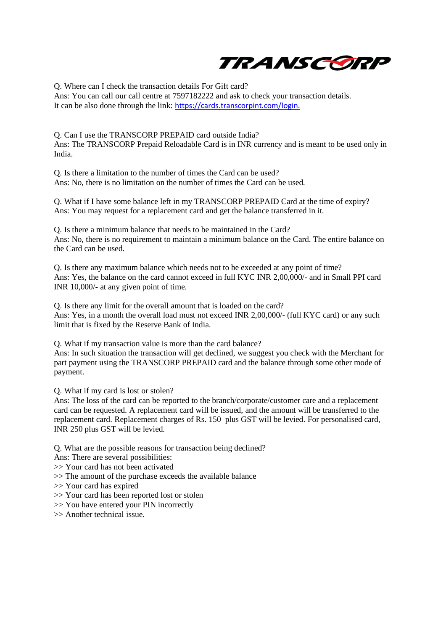

Q. Where can I check the transaction details For Gift card?

Ans: You can call our call centre at 7597182222 and ask to check your transaction details. It can be also done through the link: [https://cards.transcorpint.com/login.](https://cards.transcorpint.com/login)

Q. Can I use the TRANSCORP PREPAID card outside India? Ans: The TRANSCORP Prepaid Reloadable Card is in INR currency and is meant to be used only in India.

Q. Is there a limitation to the number of times the Card can be used? Ans: No, there is no limitation on the number of times the Card can be used.

Q. What if I have some balance left in my TRANSCORP PREPAID Card at the time of expiry? Ans: You may request for a replacement card and get the balance transferred in it.

Q. Is there a minimum balance that needs to be maintained in the Card? Ans: No, there is no requirement to maintain a minimum balance on the Card. The entire balance on the Card can be used.

Q. Is there any maximum balance which needs not to be exceeded at any point of time? Ans: Yes, the balance on the card cannot exceed in full KYC INR 2,00,000/- and in Small PPI card INR 10,000/- at any given point of time.

Q. Is there any limit for the overall amount that is loaded on the card? Ans: Yes, in a month the overall load must not exceed INR 2,00,000/- (full KYC card) or any such limit that is fixed by the Reserve Bank of India.

Q. What if my transaction value is more than the card balance?

Ans: In such situation the transaction will get declined, we suggest you check with the Merchant for part payment using the TRANSCORP PREPAID card and the balance through some other mode of payment.

Q. What if my card is lost or stolen?

Ans: The loss of the card can be reported to the branch/corporate/customer care and a replacement card can be requested. A replacement card will be issued, and the amount will be transferred to the replacement card. Replacement charges of Rs. 150 plus GST will be levied. For personalised card, INR 250 plus GST will be levied.

Q. What are the possible reasons for transaction being declined?

Ans: There are several possibilities:

>> Your card has not been activated

- >> The amount of the purchase exceeds the available balance
- >> Your card has expired
- >> Your card has been reported lost or stolen
- >> You have entered your PIN incorrectly
- >> Another technical issue.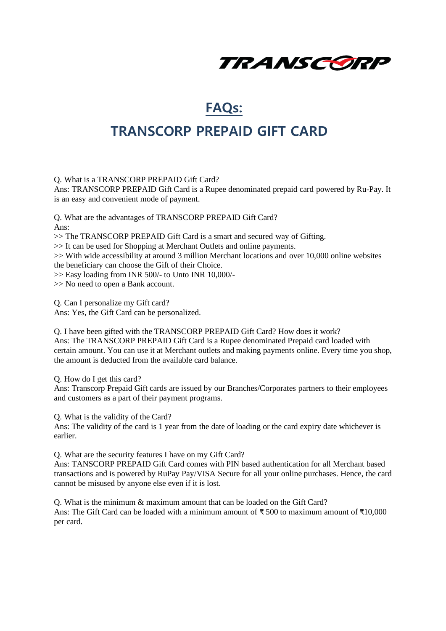

### **FAQs:**

## **TRANSCORP PREPAID GIFT CARD**

Q. What is a TRANSCORP PREPAID Gift Card?

Ans: TRANSCORP PREPAID Gift Card is a Rupee denominated prepaid card powered by Ru-Pay. It is an easy and convenient mode of payment.

Q. What are the advantages of TRANSCORP PREPAID Gift Card? Ans:

>> The TRANSCORP PREPAID Gift Card is a smart and secured way of Gifting.

>> It can be used for Shopping at Merchant Outlets and online payments.

>> With wide accessibility at around 3 million Merchant locations and over 10,000 online websites the beneficiary can choose the Gift of their Choice.

>> Easy loading from INR 500/- to Unto INR 10,000/-

>> No need to open a Bank account.

Q. Can I personalize my Gift card? Ans: Yes, the Gift Card can be personalized.

Q. I have been gifted with the TRANSCORP PREPAID Gift Card? How does it work? Ans: The TRANSCORP PREPAID Gift Card is a Rupee denominated Prepaid card loaded with certain amount. You can use it at Merchant outlets and making payments online. Every time you shop, the amount is deducted from the available card balance.

Q. How do I get this card?

Ans: Transcorp Prepaid Gift cards are issued by our Branches/Corporates partners to their employees and customers as a part of their payment programs.

Q. What is the validity of the Card?

Ans: The validity of the card is 1 year from the date of loading or the card expiry date whichever is earlier.

Q. What are the security features I have on my Gift Card?

Ans: TANSCORP PREPAID Gift Card comes with PIN based authentication for all Merchant based transactions and is powered by RuPay Pay/VISA Secure for all your online purchases. Hence, the card cannot be misused by anyone else even if it is lost.

Q. What is the minimum & maximum amount that can be loaded on the Gift Card? Ans: The Gift Card can be loaded with a minimum amount of ₹ 500 to maximum amount of ₹10,000 per card.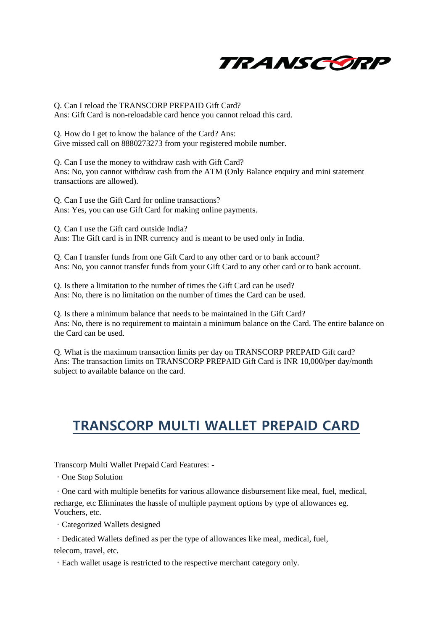

Q. Can I reload the TRANSCORP PREPAID Gift Card? Ans: Gift Card is non-reloadable card hence you cannot reload this card.

Q. How do I get to know the balance of the Card? Ans: Give missed call on 8880273273 from your registered mobile number.

Q. Can I use the money to withdraw cash with Gift Card? Ans: No, you cannot withdraw cash from the ATM (Only Balance enquiry and mini statement transactions are allowed).

Q. Can I use the Gift Card for online transactions? Ans: Yes, you can use Gift Card for making online payments.

Q. Can I use the Gift card outside India? Ans: The Gift card is in INR currency and is meant to be used only in India.

Q. Can I transfer funds from one Gift Card to any other card or to bank account? Ans: No, you cannot transfer funds from your Gift Card to any other card or to bank account.

Q. Is there a limitation to the number of times the Gift Card can be used? Ans: No, there is no limitation on the number of times the Card can be used.

Q. Is there a minimum balance that needs to be maintained in the Gift Card? Ans: No, there is no requirement to maintain a minimum balance on the Card. The entire balance on the Card can be used.

Q. What is the maximum transaction limits per day on TRANSCORP PREPAID Gift card? Ans: The transaction limits on TRANSCORP PREPAID Gift Card is INR 10,000/per day/month subject to available balance on the card.

# **TRANSCORP MULTI WALLET PREPAID CARD**

Transcorp Multi Wallet Prepaid Card Features: -

One Stop Solution

One card with multiple benefits for various allowance disbursement like meal, fuel, medical, recharge, etc Eliminates the hassle of multiple payment options by type of allowances eg. Vouchers, etc.

Categorized Wallets designed

Dedicated Wallets defined as per the type of allowances like meal, medical, fuel,

telecom, travel, etc.

Each wallet usage is restricted to the respective merchant category only.